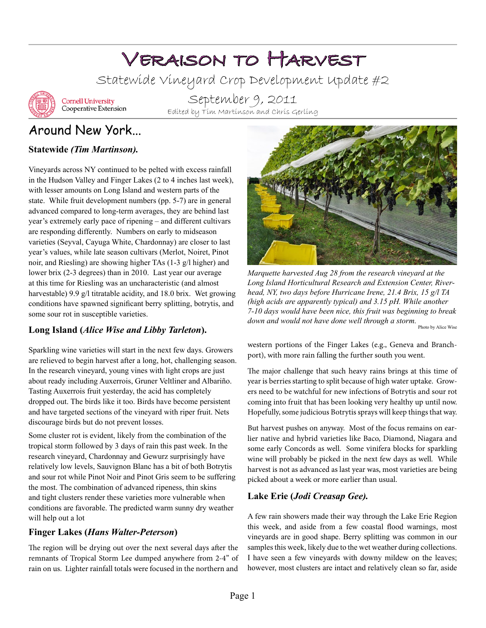# Veraison to Harvest

Statewide Vineyard Crop Development Update #2



**Cornell University** Cooperative Extension

September 9, 2011 Edited by Tim Martinson and Chris Gerling

# Around New York...

#### **Statewide** *(Tim Martinson).*

Vineyards across NY continued to be pelted with excess rainfall in the Hudson Valley and Finger Lakes (2 to 4 inches last week), with lesser amounts on Long Island and western parts of the state. While fruit development numbers (pp. 5-7) are in general advanced compared to long-term averages, they are behind last year's extremely early pace of ripening – and different cultivars are responding differently. Numbers on early to midseason varieties (Seyval, Cayuga White, Chardonnay) are closer to last year's values, while late season cultivars (Merlot, Noiret, Pinot noir, and Riesling) are showing higher TAs (1-3 g/l higher) and lower brix (2-3 degrees) than in 2010. Last year our average at this time for Riesling was an uncharacteristic (and almost harvestable) 9.9 g/l titratable acidity, and 18.0 brix. Wet growing conditions have spawned significant berry splitting, botrytis, and some sour rot in susceptible varieties.

#### **Long Island (***Alice Wise and Libby Tarleton***).**

Sparkling wine varieties will start in the next few days. Growers are relieved to begin harvest after a long, hot, challenging season. In the research vineyard, young vines with light crops are just about ready including Auxerrois, Gruner Veltliner and Albariño. Tasting Auxerrois fruit yesterday, the acid has completely dropped out. The birds like it too. Birds have become persistent and have targeted sections of the vineyard with riper fruit. Nets discourage birds but do not prevent losses.

Some cluster rot is evident, likely from the combination of the tropical storm followed by 3 days of rain this past week. In the research vineyard, Chardonnay and Gewurz surprisingly have relatively low levels, Sauvignon Blanc has a bit of both Botrytis and sour rot while Pinot Noir and Pinot Gris seem to be suffering the most. The combination of advanced ripeness, thin skins and tight clusters render these varieties more vulnerable when conditions are favorable. The predicted warm sunny dry weather will help out a lot

#### **Finger Lakes (***Hans Walter-Peterson***)**

The region will be drying out over the next several days after the remnants of Tropical Storm Lee dumped anywhere from 2-4" of rain on us. Lighter rainfall totals were focused in the northern and



*Marquette harvested Aug 28 from the research vineyard at the Long Island Horticultural Research and Extension Center, Riverhead, NY, two days before Hurricane Irene, 21.4 Brix, 15 g/l TA (high acids are apparently typical) and 3.15 pH. While another 7-10 days would have been nice, this fruit was beginning to break down and would not have done well through a storm.* Photo by Alice Wise

western portions of the Finger Lakes (e.g., Geneva and Branchport), with more rain falling the further south you went.

The major challenge that such heavy rains brings at this time of year is berries starting to split because of high water uptake. Growers need to be watchful for new infections of Botrytis and sour rot coming into fruit that has been looking very healthy up until now. Hopefully, some judicious Botrytis sprays will keep things that way.

But harvest pushes on anyway. Most of the focus remains on earlier native and hybrid varieties like Baco, Diamond, Niagara and some early Concords as well. Some vinifera blocks for sparkling wine will probably be picked in the next few days as well. While harvest is not as advanced as last year was, most varieties are being picked about a week or more earlier than usual.

#### **Lake Erie (***Jodi Creasap Gee).*

A few rain showers made their way through the Lake Erie Region this week, and aside from a few coastal flood warnings, most vineyards are in good shape. Berry splitting was common in our samples this week, likely due to the wet weather during collections. I have seen a few vineyards with downy mildew on the leaves; however, most clusters are intact and relatively clean so far, aside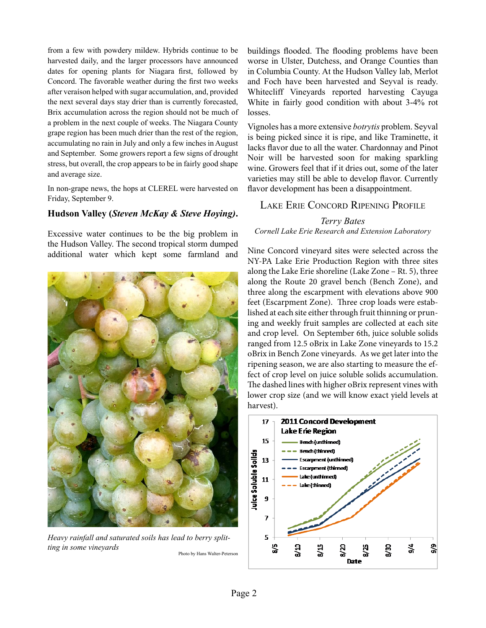from a few with powdery mildew. Hybrids continue to be harvested daily, and the larger processors have announced dates for opening plants for Niagara first, followed by Concord. The favorable weather during the first two weeks after veraíson helped with sugar accumulation, and, provided the next several days stay drier than is currently forecasted, Brix accumulation across the region should not be much of a problem in the next couple of weeks. The Niagara County grape region has been much drier than the rest of the region, accumulating no rain in July and only a few inches in August and September. Some growers report a few signs of drought stress, but overall, the crop appears to be in fairly good shape and average size.

In non-grape news, the hops at CLEREL were harvested on Friday, September 9.

#### **Hudson Valley (***Steven McKay & Steve Hoying)***.**

Excessive water continues to be the big problem in the Hudson Valley. The second tropical storm dumped additional water which kept some farmland and



*Heavy rainfall and saturated soils has lead to berry splitting in some vineyards* Photo by Hans Walter-Peterson

buildings flooded. The flooding problems have been worse in Ulster, Dutchess, and Orange Counties than in Columbia County. At the Hudson Valley lab, Merlot and Foch have been harvested and Seyval is ready. Whitecliff Vineyards reported harvesting Cayuga White in fairly good condition with about 3-4% rot losses.

Vignoles has a more extensive *botrytis* problem. Seyval is being picked since it is ripe, and like Traminette, it lacks flavor due to all the water. Chardonnay and Pinot Noir will be harvested soon for making sparkling wine. Growers feel that if it dries out, some of the later varieties may still be able to develop flavor. Currently flavor development has been a disappointment.

#### Lake Erie Concord Ripening Profile

#### *Terry Bates Cornell Lake Erie Research and Extension Laboratory*

Nine Concord vineyard sites were selected across the NY-PA Lake Erie Production Region with three sites along the Lake Erie shoreline (Lake Zone – Rt. 5), three along the Route 20 gravel bench (Bench Zone), and three along the escarpment with elevations above 900 feet (Escarpment Zone). Three crop loads were established at each site either through fruit thinning or pruning and weekly fruit samples are collected at each site and crop level. On September 6th, juice soluble solids ranged from 12.5 oBrix in Lake Zone vineyards to 15.2 oBrix in Bench Zone vineyards. As we get later into the ripening season, we are also starting to measure the effect of crop level on juice soluble solids accumulation. The dashed lines with higher oBrix represent vines with lower crop size (and we will know exact yield levels at harvest).

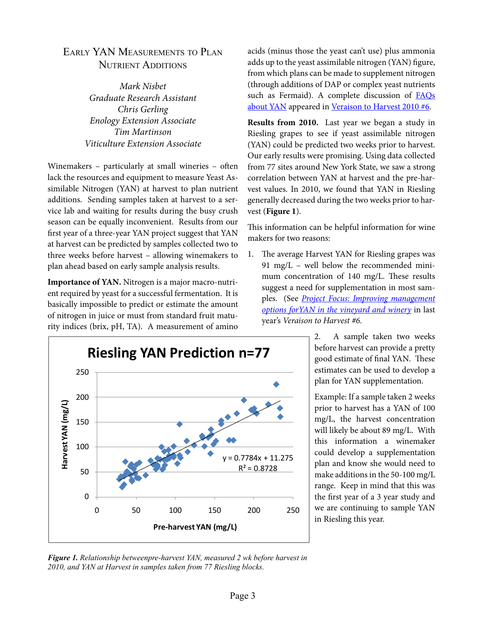#### Early YAN Measurements to Plan NUTRIENT ADDITIONS

*Mark Nisbet Graduate Research Assistant Chris Gerling Enology Extension Associate Tim Martinson Viticulture Extension Associate*

Winemakers – particularly at small wineries – often lack the resources and equipment to measure Yeast Assimilable Nitrogen (YAN) at harvest to plan nutrient additions. Sending samples taken at harvest to a service lab and waiting for results during the busy crush season can be equally inconvenient. Results from our first year of a three-year YAN project suggest that YAN at harvest can be predicted by samples collected two to three weeks before harvest – allowing winemakers to plan ahead based on early sample analysis results.

**Importance of YAN.** Nitrogen is a major macro-nutrient required by yeast for a successful fermentation. It is basically impossible to predict or estimate the amount of nitrogen in juice or must from standard fruit maturity indices (brix, pH, TA). A measurement of amino



**Results from 2010.** Last year we began a study in Riesling grapes to see if yeast assimilable nitrogen (YAN) could be predicted two weeks prior to harvest. Our early results were promising. Using data collected from 77 sites around New York State, we saw a strong correlation between YAN at harvest and the pre-harvest values. In 2010, we found that YAN in Riesling generally decreased during the two weeks prior to harvest (**Figure 1**).

This information can be helpful information for wine makers for two reasons:

1. The average Harvest YAN for Riesling grapes was 91 mg/L – well below the recommended minimum concentration of 140 mg/L. These results suggest a need for supplementation in most samples. (See *[Project Focus: Improving management](http://www.cals.cornell.edu/cals/grapesandwine/veraison-to-harvest/upload/Veraison-to-Harvest-2010-6.pdf) [options forYAN in the vineyard and winery](http://www.cals.cornell.edu/cals/grapesandwine/veraison-to-harvest/upload/Veraison-to-Harvest-2010-6.pdf)* in last year's *Veraison to Harvest #6.*

> 2. A sample taken two weeks before harvest can provide a pretty good estimate of final YAN. These estimates can be used to develop a plan for YAN supplementation.

> Example: If a sample taken 2 weeks prior to harvest has a YAN of 100 mg/L, the harvest concentration will likely be about 89 mg/L. With this information a winemaker could develop a supplementation plan and know she would need to make additions in the 50-100 mg/L range. Keep in mind that this was the first year of a 3 year study and we are continuing to sample YAN in Riesling this year.



*Figure 1. Relationship betweenpre-harvest YAN, measured 2 wk before harvest in 2010, and YAN at Harvest in samples taken from 77 Riesling blocks.*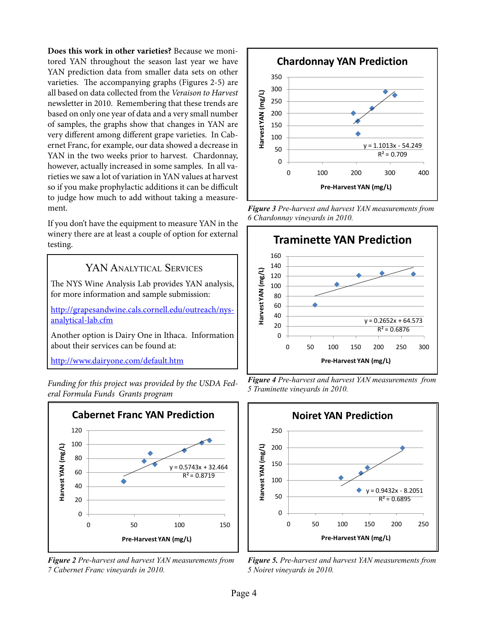**Does this work in other varieties?** Because we monitored YAN throughout the season last year we have YAN prediction data from smaller data sets on other varieties. The accompanying graphs (Figures 2-5) are all based on data collected from the *Veraison to Harvest* newsletter in 2010. Remembering that these trends are based on only one year of data and a very small number of samples, the graphs show that changes in YAN are very different among different grape varieties. In Cabernet Franc, for example, our data showed a decrease in YAN in the two weeks prior to harvest. Chardonnay, however, actually increased in some samples. In all varieties we saw a lot of variation in YAN values at harvest so if you make prophylactic additions it can be difficult to judge how much to add without taking a measurement.

If you don't have the equipment to measure YAN in the winery there are at least a couple of option for external testing.

#### YAN ANALYTICAL SERVICES

The NYS Wine Analysis Lab provides YAN analysis, for more information and sample submission:

[http://grapesandwine.cals.cornell.edu/outreach/nys](http://grapesandwine.cals.cornell.edu/outreach/nys-analytical-lab.cfm)[analytical-lab.cfm](http://grapesandwine.cals.cornell.edu/outreach/nys-analytical-lab.cfm)

Another option is Dairy One in Ithaca. Information about their services can be found at:

<http://www.dairyone.com/default.htm>

*Funding for this project was provided by the USDA Federal Formula Funds Grants program* 



*Figure 2 Pre-harvest and harvest YAN measurements from 7 Cabernet Franc vineyards in 2010.*



*Figure 3 Pre-harvest and harvest YAN measurements from 6 Chardonnay vineyards in 2010.*



*Figure 4 Pre-harvest and harvest YAN measurements from 5 Traminette vineyards in 2010.*



*Figure 5. Pre-harvest and harvest YAN measurements from 5 Noiret vineyards in 2010.*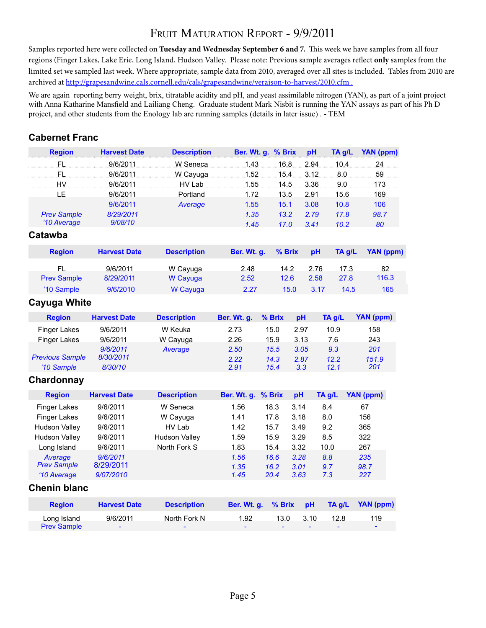## FRUIT MATURATION REPORT - 9/9/2011

Samples reported here were collected on **Tuesday and Wednesday September 6 and 7.** This week we have samples from all four regions (Finger Lakes, Lake Erie, Long Island, Hudson Valley. Please note: Previous sample averages reflect **only** samples from the limited set we sampled last week. Where appropriate, sample data from 2010, averaged over all sites is included. Tables from 2010 are archived at http://grapesandwine.cals.cornell.edu/cals/grapesandwine/veraison-to-harvest/2010.cfm.

We are again reporting berry weight, brix, titratable acidity and pH, and yeast assimilable nitrogen (YAN), as part of a joint project with Anna Katharine Mansfield and Lailiang Cheng. Graduate student Mark Nisbit is running the YAN assays as part of his Ph D project, and other students from the Enology lab are running samples (details in later issue) . - TEM

#### **Cabernet Franc**

| 2.94<br><b>FL</b><br>9/6/2011<br>W Seneca<br>1.43.<br>16.8<br>.10.4.<br>24.<br>59<br>FL.<br>9/6/2011<br>1.52<br>15.4<br>3.12<br>8.0<br>W Cayuga<br>HV.<br>3.36<br>9.0<br>173<br>9/6/2011<br>1.55<br>14.5<br>HV Lab<br>LE<br>Portland<br>169<br>9/6/2011<br>1.72<br>2.91<br>15.6<br>13.5<br>9/6/2011<br>15.1<br>3.08<br>10.8<br>106<br>Average<br>1.55<br>8/29/2011<br>1.35<br>13.2<br>2.79<br>17.8<br>98.7<br><b>Prev Sample</b><br>'10 Average<br>9/08/10<br>1.45<br>10.2<br>80<br>17.0<br>3.41<br>Catawba<br><b>Region</b><br><b>Harvest Date</b><br><b>Description</b><br>Ber. Wt. g.<br>% Brix<br>pH<br>TA g/L<br><b>FL</b><br>9/6/2011<br>14.2<br>2.76<br>17.3<br>82<br>W Cayuga<br>2.48<br><b>Prev Sample</b><br>116.3<br>8/29/2011<br>W Cayuga<br>2.52<br>12.6<br>2.58<br>27.8<br>'10 Sample<br>15.0<br>165<br>9/6/2010<br>W Cayuga<br>2.27<br>3.17<br>14.5<br><b>Cayuga White</b><br>% Brix<br>YAN (ppm)<br><b>Harvest Date</b><br>Ber. Wt. g.<br>pH<br>TA g/L<br><b>Region</b><br><b>Description</b><br><b>Finger Lakes</b><br>9/6/2011<br>W Keuka<br>2.73<br>15.0<br>2.97<br>10.9<br>158<br>9/6/2011<br>2.26<br>7.6<br>243<br><b>Finger Lakes</b><br>W Cayuga<br>15.9<br>3.13<br>9/6/2011<br>2.50<br>9.3<br>201<br>15.5<br>3.05<br>Average<br><b>Previous Sample</b><br>8/30/2011<br>2.22<br>14.3<br>2.87<br>12.2<br>151.9<br>'10 Sample<br>8/30/10<br>2.91<br>12.1<br>201<br>15.4<br>3.3<br>Chardonnay<br>YAN (ppm)<br><b>Harvest Date</b><br><b>Description</b><br>Ber. Wt. g.<br>% Brix<br>TA g/L<br><b>Region</b><br>pH<br><b>Finger Lakes</b><br>9/6/2011<br>W Seneca<br>1.56<br>18.3<br>3.14<br>8.4<br>67<br><b>Finger Lakes</b><br>9/6/2011<br>W Cayuga<br>1.41<br>17.8<br>3.18<br>8.0<br>156<br><b>Hudson Valley</b><br>9/6/2011<br>HV Lab<br>1.42<br>9.2<br>365<br>15.7<br>3.49<br>8.5<br>322<br><b>Hudson Valley</b><br>9/6/2011<br><b>Hudson Valley</b><br>1.59<br>15.9<br>3.29<br>Long Island<br>9/6/2011<br>North Fork S<br>1.83<br>15.4<br>3.32<br>10.0<br>267<br>9/6/2011<br>1.56<br>16.6<br>3.28<br>235<br>Average<br>8.8<br><b>Prev Sample</b><br>8/29/2011<br>1.35<br>98.7<br>16.2<br>3.01<br>9.7<br>227<br>'10 Average<br>9/07/2010<br>1.45<br>20.4<br>3.63<br>7.3<br><b>Chenin blanc</b><br>Ber. Wt. g.<br>% Brix<br><b>YAN (ppm)</b><br><b>Region</b><br><b>Harvest Date</b><br><b>Description</b><br>pH<br>TA g/L<br>9/6/2011<br>North Fork N<br>1.92<br>13.0<br>3.10<br>12.8<br>119<br>Long Island | <b>Region</b>      | <b>Harvest Date</b> | <b>Description</b> | Ber. Wt. g. % Brix |  | pH | TA g/L | <b>YAN (ppm)</b> |
|-------------------------------------------------------------------------------------------------------------------------------------------------------------------------------------------------------------------------------------------------------------------------------------------------------------------------------------------------------------------------------------------------------------------------------------------------------------------------------------------------------------------------------------------------------------------------------------------------------------------------------------------------------------------------------------------------------------------------------------------------------------------------------------------------------------------------------------------------------------------------------------------------------------------------------------------------------------------------------------------------------------------------------------------------------------------------------------------------------------------------------------------------------------------------------------------------------------------------------------------------------------------------------------------------------------------------------------------------------------------------------------------------------------------------------------------------------------------------------------------------------------------------------------------------------------------------------------------------------------------------------------------------------------------------------------------------------------------------------------------------------------------------------------------------------------------------------------------------------------------------------------------------------------------------------------------------------------------------------------------------------------------------------------------------------------------------------------------------------------------------------------------------------------------------------------------------------------------------------------------------------------------------------------------------------------------------------------------------------------------------------------------------------------------------------------|--------------------|---------------------|--------------------|--------------------|--|----|--------|------------------|
|                                                                                                                                                                                                                                                                                                                                                                                                                                                                                                                                                                                                                                                                                                                                                                                                                                                                                                                                                                                                                                                                                                                                                                                                                                                                                                                                                                                                                                                                                                                                                                                                                                                                                                                                                                                                                                                                                                                                                                                                                                                                                                                                                                                                                                                                                                                                                                                                                                     |                    |                     |                    |                    |  |    |        |                  |
|                                                                                                                                                                                                                                                                                                                                                                                                                                                                                                                                                                                                                                                                                                                                                                                                                                                                                                                                                                                                                                                                                                                                                                                                                                                                                                                                                                                                                                                                                                                                                                                                                                                                                                                                                                                                                                                                                                                                                                                                                                                                                                                                                                                                                                                                                                                                                                                                                                     |                    |                     |                    |                    |  |    |        |                  |
|                                                                                                                                                                                                                                                                                                                                                                                                                                                                                                                                                                                                                                                                                                                                                                                                                                                                                                                                                                                                                                                                                                                                                                                                                                                                                                                                                                                                                                                                                                                                                                                                                                                                                                                                                                                                                                                                                                                                                                                                                                                                                                                                                                                                                                                                                                                                                                                                                                     |                    |                     |                    |                    |  |    |        |                  |
|                                                                                                                                                                                                                                                                                                                                                                                                                                                                                                                                                                                                                                                                                                                                                                                                                                                                                                                                                                                                                                                                                                                                                                                                                                                                                                                                                                                                                                                                                                                                                                                                                                                                                                                                                                                                                                                                                                                                                                                                                                                                                                                                                                                                                                                                                                                                                                                                                                     |                    |                     |                    |                    |  |    |        |                  |
|                                                                                                                                                                                                                                                                                                                                                                                                                                                                                                                                                                                                                                                                                                                                                                                                                                                                                                                                                                                                                                                                                                                                                                                                                                                                                                                                                                                                                                                                                                                                                                                                                                                                                                                                                                                                                                                                                                                                                                                                                                                                                                                                                                                                                                                                                                                                                                                                                                     |                    |                     |                    |                    |  |    |        |                  |
|                                                                                                                                                                                                                                                                                                                                                                                                                                                                                                                                                                                                                                                                                                                                                                                                                                                                                                                                                                                                                                                                                                                                                                                                                                                                                                                                                                                                                                                                                                                                                                                                                                                                                                                                                                                                                                                                                                                                                                                                                                                                                                                                                                                                                                                                                                                                                                                                                                     |                    |                     |                    |                    |  |    |        |                  |
|                                                                                                                                                                                                                                                                                                                                                                                                                                                                                                                                                                                                                                                                                                                                                                                                                                                                                                                                                                                                                                                                                                                                                                                                                                                                                                                                                                                                                                                                                                                                                                                                                                                                                                                                                                                                                                                                                                                                                                                                                                                                                                                                                                                                                                                                                                                                                                                                                                     |                    |                     |                    |                    |  |    |        |                  |
|                                                                                                                                                                                                                                                                                                                                                                                                                                                                                                                                                                                                                                                                                                                                                                                                                                                                                                                                                                                                                                                                                                                                                                                                                                                                                                                                                                                                                                                                                                                                                                                                                                                                                                                                                                                                                                                                                                                                                                                                                                                                                                                                                                                                                                                                                                                                                                                                                                     |                    |                     |                    |                    |  |    |        | <b>YAN (ppm)</b> |
|                                                                                                                                                                                                                                                                                                                                                                                                                                                                                                                                                                                                                                                                                                                                                                                                                                                                                                                                                                                                                                                                                                                                                                                                                                                                                                                                                                                                                                                                                                                                                                                                                                                                                                                                                                                                                                                                                                                                                                                                                                                                                                                                                                                                                                                                                                                                                                                                                                     |                    |                     |                    |                    |  |    |        |                  |
|                                                                                                                                                                                                                                                                                                                                                                                                                                                                                                                                                                                                                                                                                                                                                                                                                                                                                                                                                                                                                                                                                                                                                                                                                                                                                                                                                                                                                                                                                                                                                                                                                                                                                                                                                                                                                                                                                                                                                                                                                                                                                                                                                                                                                                                                                                                                                                                                                                     |                    |                     |                    |                    |  |    |        |                  |
|                                                                                                                                                                                                                                                                                                                                                                                                                                                                                                                                                                                                                                                                                                                                                                                                                                                                                                                                                                                                                                                                                                                                                                                                                                                                                                                                                                                                                                                                                                                                                                                                                                                                                                                                                                                                                                                                                                                                                                                                                                                                                                                                                                                                                                                                                                                                                                                                                                     |                    |                     |                    |                    |  |    |        |                  |
|                                                                                                                                                                                                                                                                                                                                                                                                                                                                                                                                                                                                                                                                                                                                                                                                                                                                                                                                                                                                                                                                                                                                                                                                                                                                                                                                                                                                                                                                                                                                                                                                                                                                                                                                                                                                                                                                                                                                                                                                                                                                                                                                                                                                                                                                                                                                                                                                                                     |                    |                     |                    |                    |  |    |        |                  |
|                                                                                                                                                                                                                                                                                                                                                                                                                                                                                                                                                                                                                                                                                                                                                                                                                                                                                                                                                                                                                                                                                                                                                                                                                                                                                                                                                                                                                                                                                                                                                                                                                                                                                                                                                                                                                                                                                                                                                                                                                                                                                                                                                                                                                                                                                                                                                                                                                                     |                    |                     |                    |                    |  |    |        |                  |
|                                                                                                                                                                                                                                                                                                                                                                                                                                                                                                                                                                                                                                                                                                                                                                                                                                                                                                                                                                                                                                                                                                                                                                                                                                                                                                                                                                                                                                                                                                                                                                                                                                                                                                                                                                                                                                                                                                                                                                                                                                                                                                                                                                                                                                                                                                                                                                                                                                     |                    |                     |                    |                    |  |    |        |                  |
|                                                                                                                                                                                                                                                                                                                                                                                                                                                                                                                                                                                                                                                                                                                                                                                                                                                                                                                                                                                                                                                                                                                                                                                                                                                                                                                                                                                                                                                                                                                                                                                                                                                                                                                                                                                                                                                                                                                                                                                                                                                                                                                                                                                                                                                                                                                                                                                                                                     |                    |                     |                    |                    |  |    |        |                  |
|                                                                                                                                                                                                                                                                                                                                                                                                                                                                                                                                                                                                                                                                                                                                                                                                                                                                                                                                                                                                                                                                                                                                                                                                                                                                                                                                                                                                                                                                                                                                                                                                                                                                                                                                                                                                                                                                                                                                                                                                                                                                                                                                                                                                                                                                                                                                                                                                                                     |                    |                     |                    |                    |  |    |        |                  |
|                                                                                                                                                                                                                                                                                                                                                                                                                                                                                                                                                                                                                                                                                                                                                                                                                                                                                                                                                                                                                                                                                                                                                                                                                                                                                                                                                                                                                                                                                                                                                                                                                                                                                                                                                                                                                                                                                                                                                                                                                                                                                                                                                                                                                                                                                                                                                                                                                                     |                    |                     |                    |                    |  |    |        |                  |
|                                                                                                                                                                                                                                                                                                                                                                                                                                                                                                                                                                                                                                                                                                                                                                                                                                                                                                                                                                                                                                                                                                                                                                                                                                                                                                                                                                                                                                                                                                                                                                                                                                                                                                                                                                                                                                                                                                                                                                                                                                                                                                                                                                                                                                                                                                                                                                                                                                     |                    |                     |                    |                    |  |    |        |                  |
|                                                                                                                                                                                                                                                                                                                                                                                                                                                                                                                                                                                                                                                                                                                                                                                                                                                                                                                                                                                                                                                                                                                                                                                                                                                                                                                                                                                                                                                                                                                                                                                                                                                                                                                                                                                                                                                                                                                                                                                                                                                                                                                                                                                                                                                                                                                                                                                                                                     |                    |                     |                    |                    |  |    |        |                  |
|                                                                                                                                                                                                                                                                                                                                                                                                                                                                                                                                                                                                                                                                                                                                                                                                                                                                                                                                                                                                                                                                                                                                                                                                                                                                                                                                                                                                                                                                                                                                                                                                                                                                                                                                                                                                                                                                                                                                                                                                                                                                                                                                                                                                                                                                                                                                                                                                                                     |                    |                     |                    |                    |  |    |        |                  |
|                                                                                                                                                                                                                                                                                                                                                                                                                                                                                                                                                                                                                                                                                                                                                                                                                                                                                                                                                                                                                                                                                                                                                                                                                                                                                                                                                                                                                                                                                                                                                                                                                                                                                                                                                                                                                                                                                                                                                                                                                                                                                                                                                                                                                                                                                                                                                                                                                                     |                    |                     |                    |                    |  |    |        |                  |
|                                                                                                                                                                                                                                                                                                                                                                                                                                                                                                                                                                                                                                                                                                                                                                                                                                                                                                                                                                                                                                                                                                                                                                                                                                                                                                                                                                                                                                                                                                                                                                                                                                                                                                                                                                                                                                                                                                                                                                                                                                                                                                                                                                                                                                                                                                                                                                                                                                     |                    |                     |                    |                    |  |    |        |                  |
|                                                                                                                                                                                                                                                                                                                                                                                                                                                                                                                                                                                                                                                                                                                                                                                                                                                                                                                                                                                                                                                                                                                                                                                                                                                                                                                                                                                                                                                                                                                                                                                                                                                                                                                                                                                                                                                                                                                                                                                                                                                                                                                                                                                                                                                                                                                                                                                                                                     |                    |                     |                    |                    |  |    |        |                  |
|                                                                                                                                                                                                                                                                                                                                                                                                                                                                                                                                                                                                                                                                                                                                                                                                                                                                                                                                                                                                                                                                                                                                                                                                                                                                                                                                                                                                                                                                                                                                                                                                                                                                                                                                                                                                                                                                                                                                                                                                                                                                                                                                                                                                                                                                                                                                                                                                                                     |                    |                     |                    |                    |  |    |        |                  |
|                                                                                                                                                                                                                                                                                                                                                                                                                                                                                                                                                                                                                                                                                                                                                                                                                                                                                                                                                                                                                                                                                                                                                                                                                                                                                                                                                                                                                                                                                                                                                                                                                                                                                                                                                                                                                                                                                                                                                                                                                                                                                                                                                                                                                                                                                                                                                                                                                                     |                    |                     |                    |                    |  |    |        |                  |
|                                                                                                                                                                                                                                                                                                                                                                                                                                                                                                                                                                                                                                                                                                                                                                                                                                                                                                                                                                                                                                                                                                                                                                                                                                                                                                                                                                                                                                                                                                                                                                                                                                                                                                                                                                                                                                                                                                                                                                                                                                                                                                                                                                                                                                                                                                                                                                                                                                     |                    |                     |                    |                    |  |    |        |                  |
|                                                                                                                                                                                                                                                                                                                                                                                                                                                                                                                                                                                                                                                                                                                                                                                                                                                                                                                                                                                                                                                                                                                                                                                                                                                                                                                                                                                                                                                                                                                                                                                                                                                                                                                                                                                                                                                                                                                                                                                                                                                                                                                                                                                                                                                                                                                                                                                                                                     |                    |                     |                    |                    |  |    |        |                  |
|                                                                                                                                                                                                                                                                                                                                                                                                                                                                                                                                                                                                                                                                                                                                                                                                                                                                                                                                                                                                                                                                                                                                                                                                                                                                                                                                                                                                                                                                                                                                                                                                                                                                                                                                                                                                                                                                                                                                                                                                                                                                                                                                                                                                                                                                                                                                                                                                                                     |                    |                     |                    |                    |  |    |        |                  |
|                                                                                                                                                                                                                                                                                                                                                                                                                                                                                                                                                                                                                                                                                                                                                                                                                                                                                                                                                                                                                                                                                                                                                                                                                                                                                                                                                                                                                                                                                                                                                                                                                                                                                                                                                                                                                                                                                                                                                                                                                                                                                                                                                                                                                                                                                                                                                                                                                                     | <b>Prev Sample</b> |                     |                    |                    |  |    |        | $\blacksquare$   |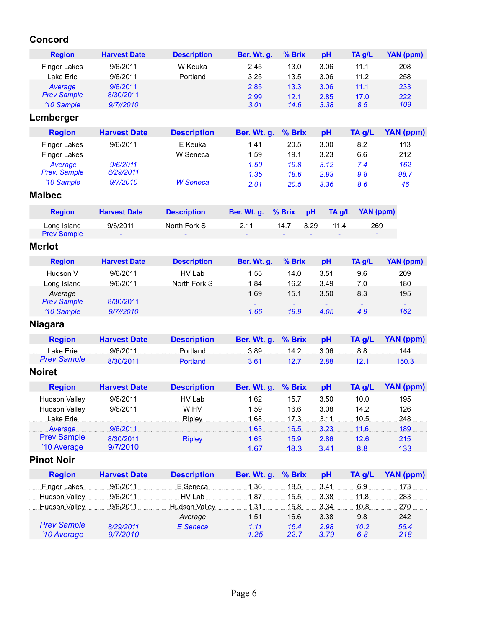### **Concord**

| <b>Region</b>                     | <b>Harvest Date</b>    | <b>Description</b>   | Ber. Wt. g.  | % Brix       | pH           | TA g/L           | <b>YAN (ppm)</b> |
|-----------------------------------|------------------------|----------------------|--------------|--------------|--------------|------------------|------------------|
| <b>Finger Lakes</b>               | 9/6/2011               | W Keuka              | 2.45         | 13.0         | 3.06         | 11.1             | 208              |
| Lake Erie                         | 9/6/2011               | Portland             | 3.25         | 13.5         | 3.06         | 11.2             | 258              |
| Average                           | 9/6/2011               |                      | 2.85         | 13.3         | 3.06         | 11.1             | 233              |
| <b>Prev Sample</b>                | 8/30/2011              |                      | 2.99         | 12.1         | 2.85         | 17.0             | 222              |
| '10 Sample                        | 9/7//2010              |                      | 3.01         | 14.6         | 3.38         | 8.5              | 109              |
| Lemberger                         |                        |                      |              |              |              |                  |                  |
| <b>Region</b>                     | <b>Harvest Date</b>    | <b>Description</b>   | Ber. Wt. g.  | % Brix       | pH           | TA g/L           | <b>YAN (ppm)</b> |
| <b>Finger Lakes</b>               | 9/6/2011               | E Keuka              | 1.41         | 20.5         | 3.00         | 8.2              | 113              |
| <b>Finger Lakes</b>               |                        | W Seneca             | 1.59         | 19.1         | 3.23         | 6.6              | 212              |
| Average<br><b>Prev. Sample</b>    | 9/6/2011<br>8/29/2011  |                      | 1.50         | 19.8         | 3.12         | 7.4              | 162              |
| '10 Sample                        | 9/7/2010               | <b>W</b> Seneca      | 1.35<br>2.01 | 18.6         | 2.93         | 9.8              | 98.7<br>46       |
| <b>Malbec</b>                     |                        |                      |              | 20.5         | 3.36         | 8.6              |                  |
|                                   |                        |                      |              |              |              |                  |                  |
| <b>Region</b>                     | <b>Harvest Date</b>    | <b>Description</b>   | Ber. Wt. g.  | % Brix       | TA g/L<br>pH | <b>YAN (ppm)</b> |                  |
| Long Island<br><b>Prev Sample</b> | 9/6/2011               | North Fork S         | 2.11         | 14.7         | 3.29<br>11.4 | 269              |                  |
|                                   |                        |                      |              |              |              |                  |                  |
| <b>Merlot</b>                     |                        |                      |              |              |              |                  |                  |
| <b>Region</b>                     | <b>Harvest Date</b>    | <b>Description</b>   | Ber. Wt. g.  | % Brix       | pH           | TA g/L           | <b>YAN (ppm)</b> |
| Hudson V                          | 9/6/2011               | HV Lab               | 1.55         | 14.0         | 3.51         | 9.6              | 209              |
| Long Island                       | 9/6/2011               | North Fork S         | 1.84         | 16.2         | 3.49         | 7.0              | 180              |
| Average                           |                        |                      | 1.69         | 15.1         | 3.50         | 8.3              | 195              |
| <b>Prev Sample</b><br>'10 Sample  | 8/30/2011<br>9/7//2010 |                      | 1.66         | 19.9         | 4.05         | 4.9              | 162              |
|                                   |                        |                      |              |              |              |                  |                  |
| <b>Niagara</b>                    |                        |                      |              |              |              |                  |                  |
| <b>Region</b>                     | <b>Harvest Date</b>    | <b>Description</b>   | Ber. Wt. g.  | % Brix       | pH           | TA g/L           | <b>YAN (ppm)</b> |
| Lake Erie                         | 9/6/2011               | Portland             | 3.89         | 14.2         | 3.06         | 8.8              | 144              |
| <b>Prev Sample</b>                | 8/30/2011              | Portland             | 3.61         | 12.7         | 2.88         | 12.1             | 150.3            |
| <b>Noiret</b>                     |                        |                      |              |              |              |                  |                  |
| <b>Region</b>                     | <b>Harvest Date</b>    | <b>Description</b>   | Ber. Wt. g.  | % Brix       | pH           | TA g/L           | YAN (ppm)        |
| <b>Hudson Vallev</b>              | 9/6/2011               | HV Lab               | 1.62         | 15.7         | 3.50         | 10.0             | 195              |
| <b>Hudson Valley</b>              | 9/6/2011               | W HV                 | 1.59         | 16.6         | 3.08         | 14.2             | 126              |
| Lake Erie                         |                        | <b>Ripley</b>        | 1.68         | 17.3         | 3.11         | 10.5             | 248              |
| Average                           | 9/6/2011               |                      | 1.63         | 16.5         | 3.23         | 11.6             | 189              |
| <b>Prev Sample</b>                | 8/30/2011              | <b>Ripley</b>        | 1.63         | 15.9         | 2.86         | 12.6             | 215              |
| '10 Average<br><b>Pinot Noir</b>  | 9/7/2010               |                      | 1.67         | 18.3         | 3.41         | 8.8              | 133              |
|                                   |                        |                      |              |              |              |                  |                  |
| <b>Region</b>                     | <b>Harvest Date</b>    | <b>Description</b>   | Ber. Wt. g.  | % Brix       | pH           | TA g/L           | <b>YAN (ppm)</b> |
| <b>Finger Lakes</b>               | 9/6/2011               | E Seneca             | 1.36         | 18.5         | 3.41         | 6.9.             | 173              |
| Hudson Valley                     | 9/6/2011               | HV Lab               | 1.87         | 15.5         | 3.38         | 11.8             | 283              |
| <b>Hudson Valley</b>              | 9/6/2011               | <b>Hudson Valley</b> | 1.31         | 15.8         | 3.34         | 10.8             | 270              |
| <b>Prev Sample</b>                |                        | Average              | 1.51         | 16.6         | 3.38         | 9.8              | 242              |
| '10 Average                       | 8/29/2011<br>9/7/2010  | <b>E</b> Seneca      | 1.11<br>1.25 | 15.4<br>22.7 | 2.98<br>3.79 | 10.2<br>6.8      | 56.4<br>218      |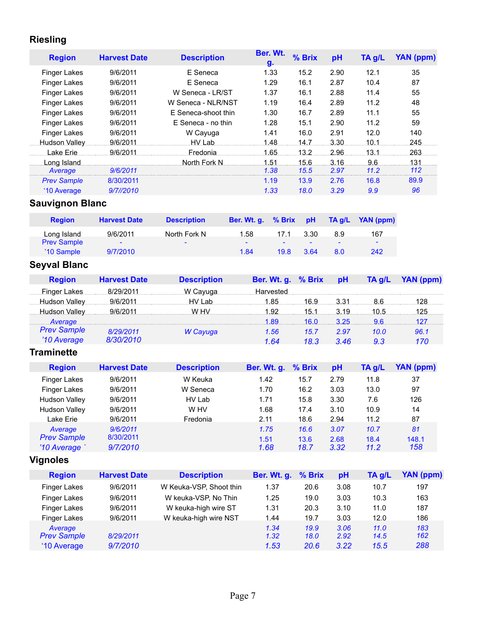### **Riesling**

| <b>Region</b>          | <b>Harvest Date</b>    | <b>Description</b>  |             | Ber. Wt.<br>g. | % Brix             | pH     | TA g/L    | <b>YAN (ppm)</b> |
|------------------------|------------------------|---------------------|-------------|----------------|--------------------|--------|-----------|------------------|
| Finger Lakes           | 9/6/2011               | E Seneca            |             | 1.33           | 15.2               | 2.90   | 12.1      | 35               |
| <b>Finger Lakes</b>    | 9/6/2011               | E Seneca            |             | 1.29           | 16.1               | 2.87   | 10.4      | 87               |
| Finger Lakes           | 9/6/2011               | W Seneca - LR/ST    |             | 1.37           | 16.1               | 2.88   | 11.4      | 55               |
| Finger Lakes           | 9/6/2011               | W Seneca - NLR/NST  |             | 1.19           | 16.4               | 2.89   | 11.2      | 48               |
| Finger Lakes           | 9/6/2011               | E Seneca-shoot thin |             | 1.30           | 16.7               | 2.89   | 11.1      | 55               |
| Finger Lakes           | 9/6/2011               | E Seneca - no thin  |             | 1.28           | 15.1               | 2.90   | 11.2      | 59               |
| Finger Lakes           | 9/6/2011               | W Cayuga            |             | 1.41           | 16.0               | 2.91   | 12.0      | 140              |
| Hudson Valley          | 9/6/2011               | HV Lab              |             | 1.48           | 14.7               | 3.30   | 10.1      | 245              |
| Lake Erie              | 9/6/2011               | Fredonia            |             | 1.65           | 13.2.              | 2.96   | 13.1      | 263              |
| Long Island            |                        | North Fork N        |             | 1.51           | 15.6               | 3.16   | 9.6       | 131.             |
| Average                | 9/6/2011               |                     |             | 1.38           | 15.5               | 2.97   | 11.2      | 112              |
| <b>Prev Sample</b>     | 8/30/2011              |                     |             | 1.19           | 13.9               | 2.76   | 16.8      | 89.9             |
| '10 Average            | 9/7//2010              |                     |             | 1.33           | 18.0               | 3.29   | 9.9       | 96               |
| <b>Sauvignon Blanc</b> |                        |                     |             |                |                    |        |           |                  |
| <b>Region</b>          | <b>Harvest Date</b>    | <b>Description</b>  | Ber. Wt. g. | % Brix         | pH                 | TA g/L | YAN (ppm) |                  |
| Long Island            | 9/6/2011               | North Fork N        | 1.58        | 17.1           | 3.30               | 8.9    | 167       |                  |
| <b>Prev Sample</b>     |                        |                     |             |                |                    |        |           |                  |
| '10 Sample             | 9/7/2010               |                     | 1.84        | 19.8           | 3.64               | 8.0    | 242       |                  |
| <b>Seyval Blanc</b>    |                        |                     |             |                |                    |        |           |                  |
| <b>Region</b>          | <b>Harvest Date</b>    | <b>Description</b>  |             |                | Ber. Wt. g. % Brix | pH     | TA g/L    | <b>YAN (ppm)</b> |
|                        | Finger Lakes 8/29/2011 | W Cayuga            |             | Harvested      |                    |        |           |                  |
| Hudson Valley          | 9/6/2011               | HV Lab              |             | 1.85           | 16.9               | 3.31   | 8.6       | 128              |
| Hudson Valley          | 9/6/2011               | WHV 1.92            |             |                | 15.1               | 3.19   | 10.5      | 125              |

| <b>Prev Sample</b> | 8/29/2011 | W Cayuga | 1.56 | 15.7 | -2.97     | 10 O | 96.1 |
|--------------------|-----------|----------|------|------|-----------|------|------|
| <b>10 Average</b>  | 8/30/2010 |          | 1 64 |      | 18.3 3.46 |      |      |

### **Traminette**

| <b>Region</b>        | <b>Harvest Date</b> | <b>Description</b> | <b>Ber. Wt. g.</b> | % Brix | pH   | $TA$ g/L | YAN (ppm) |
|----------------------|---------------------|--------------------|--------------------|--------|------|----------|-----------|
| Finger Lakes         | 9/6/2011            | W Keuka            | 1.42               | 15.7   | 2.79 | 11.8     | 37        |
| <b>Finger Lakes</b>  | 9/6/2011            | W Seneca           | 1.70               | 16.2   | 3.03 | 13.0     | 97        |
| <b>Hudson Valley</b> | 9/6/2011            | HV Lab             | 1.71               | 15.8   | 3.30 | 7.6      | 126       |
| <b>Hudson Valley</b> | 9/6/2011            | W HV               | 1.68               | 17.4   | 3.10 | 10.9     | 14        |
| Lake Erie            | 9/6/2011            | Fredonia           | 2.11               | 18.6   | 2.94 | 11.2     | 87        |
| Average              | 9/6/2011            |                    | 1.75               | 16.6   | 3.07 | 10.7     | 81        |
| <b>Prev Sample</b>   | 8/30/2011           |                    | 1.51               | 13.6   | 2.68 | 18.4     | 148.1     |
| '10 Average          | 9/7/2010            |                    | 1.68               | 18.7   | 3.32 | 11.2     | 158       |

# **Vignoles**

| <b>Region</b>       | <b>Harvest Date</b> | <b>Description</b>      | Ber. Wt. g. % Brix |      | pH   | $TA$ g/L | YAN (ppm) |
|---------------------|---------------------|-------------------------|--------------------|------|------|----------|-----------|
| <b>Finger Lakes</b> | 9/6/2011            | W Keuka-VSP, Shoot thin | 1.37               | 20.6 | 3.08 | 10.7     | 197       |
| <b>Finger Lakes</b> | 9/6/2011            | W keuka-VSP, No Thin    | 1.25               | 19.0 | 3.03 | 10.3     | 163       |
| Finger Lakes        | 9/6/2011            | W keuka-high wire ST    | 1.31               | 20.3 | 3.10 | 11.0     | 187       |
| Finger Lakes        | 9/6/2011            | W keuka-high wire NST   | 1.44               | 19.7 | 3.03 | 12.0     | 186       |
| Average             |                     |                         | 1.34               | 19.9 | 3.06 | 11.0     | 183       |
| <b>Prev Sample</b>  | 8/29/2011           |                         | 1.32               | 18.0 | 2.92 | 14.5     | 162       |
| '10 Average         | 9/7/2010            |                         | 1.53               | 20.6 | 3.22 | 15.5     | 288       |